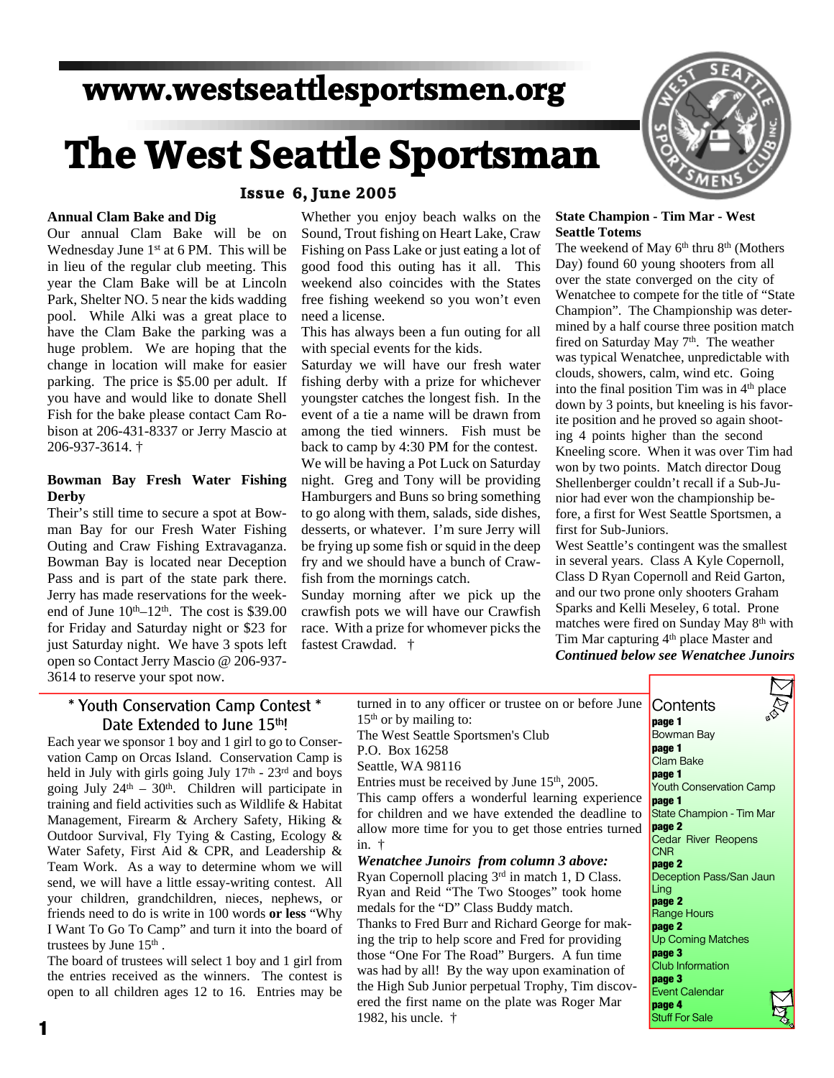## **www.westseattlesportsmen.org**

# **The West Seattle Sportsman**

#### **Issue 6, June 2005**

#### **Annual Clam Bake and Dig**

Our annual Clam Bake will be on Wednesday June 1<sup>st</sup> at 6 PM. This will be in lieu of the regular club meeting. This year the Clam Bake will be at Lincoln Park, Shelter NO. 5 near the kids wadding pool. While Alki was a great place to have the Clam Bake the parking was a huge problem. We are hoping that the change in location will make for easier parking. The price is \$5.00 per adult. If you have and would like to donate Shell Fish for the bake please contact Cam Robison at 206-431-8337 or Jerry Mascio at 206-937-3614. †

#### **Bowman Bay Fresh Water Fishing Derby**

Their's still time to secure a spot at Bowman Bay for our Fresh Water Fishing Outing and Craw Fishing Extravaganza. Bowman Bay is located near Deception Pass and is part of the state park there. Jerry has made reservations for the weekend of June  $10^{th} - 12^{th}$ . The cost is \$39.00 for Friday and Saturday night or \$23 for just Saturday night. We have 3 spots left open so Contact Jerry Mascio @ 206-937- 3614 to reserve your spot now.

#### Whether you enjoy beach walks on the Sound, Trout fishing on Heart Lake, Craw Fishing on Pass Lake or just eating a lot of good food this outing has it all. This weekend also coincides with the States free fishing weekend so you won't even need a license.

This has always been a fun outing for all with special events for the kids.

Saturday we will have our fresh water fishing derby with a prize for whichever youngster catches the longest fish. In the event of a tie a name will be drawn from among the tied winners. Fish must be back to camp by 4:30 PM for the contest. We will be having a Pot Luck on Saturday night. Greg and Tony will be providing Hamburgers and Buns so bring something to go along with them, salads, side dishes, desserts, or whatever. I'm sure Jerry will be frying up some fish or squid in the deep fry and we should have a bunch of Crawfish from the mornings catch.

Sunday morning after we pick up the crawfish pots we will have our Crawfish race. With a prize for whomever picks the fastest Crawdad. †



#### **State Champion - Tim Mar - West Seattle Totems**

The weekend of May  $6<sup>th</sup>$  thru  $8<sup>th</sup>$  (Mothers Day) found 60 young shooters from all over the state converged on the city of Wenatchee to compete for the title of "State Champion". The Championship was determined by a half course three position match fired on Saturday May  $7<sup>th</sup>$ . The weather was typical Wenatchee, unpredictable with clouds, showers, calm, wind etc. Going into the final position Tim was in 4th place down by 3 points, but kneeling is his favorite position and he proved so again shooting 4 points higher than the second Kneeling score. When it was over Tim had won by two points. Match director Doug Shellenberger couldn't recall if a Sub-Junior had ever won the championship before, a first for West Seattle Sportsmen, a first for Sub-Juniors.

West Seattle's contingent was the smallest in several years. Class A Kyle Copernoll, Class D Ryan Copernoll and Reid Garton, and our two prone only shooters Graham Sparks and Kelli Meseley, 6 total. Prone matches were fired on Sunday May 8<sup>th</sup> with Tim Mar capturing 4<sup>th</sup> place Master and *Continued below see Wenatchee Junoirs*

#### \* Youth Conservation Camp Contest \* Date Extended to June 15th!

Each year we sponsor 1 boy and 1 girl to go to Conservation Camp on Orcas Island. Conservation Camp is held in July with girls going July  $17<sup>th</sup>$  -  $23<sup>rd</sup>$  and boys going July  $24<sup>th</sup> - 30<sup>th</sup>$ . Children will participate in training and field activities such as Wildlife & Habitat Management, Firearm & Archery Safety, Hiking & Outdoor Survival, Fly Tying & Casting, Ecology & Water Safety, First Aid & CPR, and Leadership & Team Work. As a way to determine whom we will send, we will have a little essay-writing contest. All your children, grandchildren, nieces, nephews, or friends need to do is write in 100 words **or less** "Why I Want To Go To Camp" and turn it into the board of trustees by June  $15<sup>th</sup>$ .

The board of trustees will select 1 boy and 1 girl from the entries received as the winners. The contest is open to all children ages 12 to 16. Entries may be turned in to any officer or trustee on or before June 15th or by mailing to:

The West Seattle Sportsmen's Club P.O. Box 16258

Seattle, WA 98116

Entries must be received by June 15<sup>th</sup>, 2005. This camp offers a wonderful learning experience for children and we have extended the deadline to allow more time for you to get those entries turned in. †

#### *Wenatchee Junoirs from column 3 above:*

Ryan Copernoll placing 3rd in match 1, D Class. Ryan and Reid "The Two Stooges" took home medals for the "D" Class Buddy match.

Thanks to Fred Burr and Richard George for making the trip to help score and Fred for providing those "One For The Road" Burgers. A fun time was had by all! By the way upon examination of the High Sub Junior perpetual Trophy, Tim discovered the first name on the plate was Roger Mar **1982**, his uncle. †

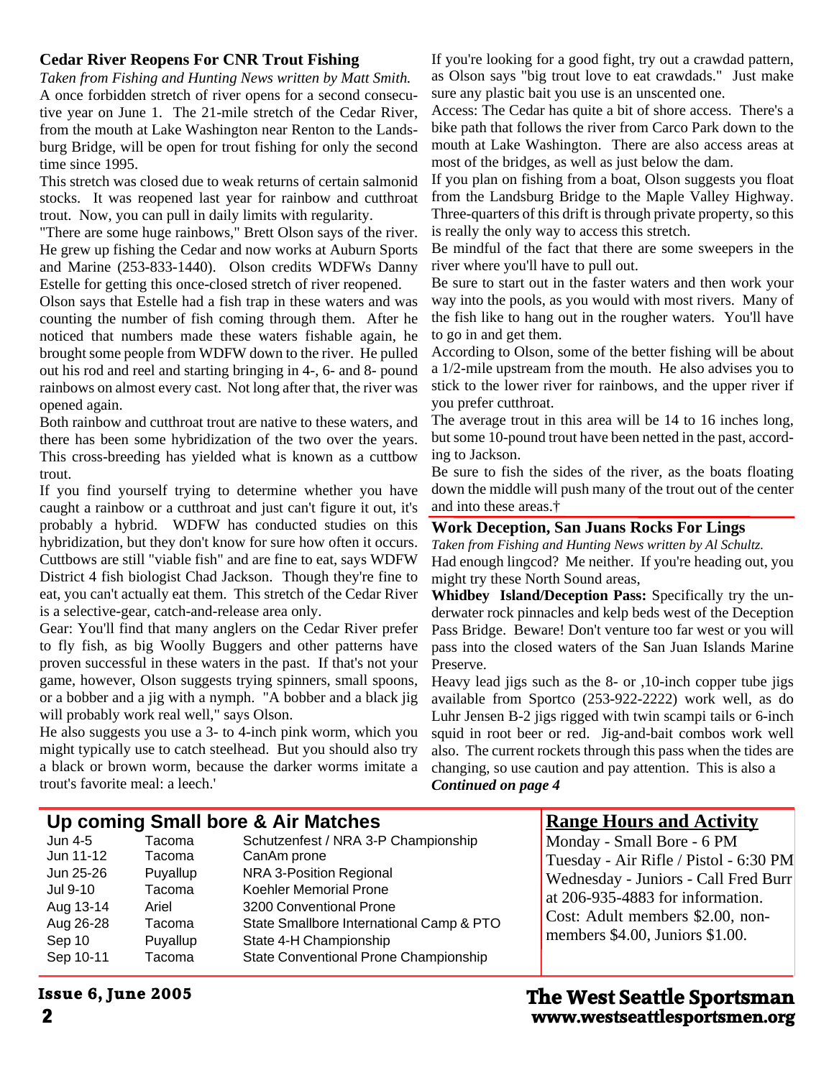#### **Cedar River Reopens For CNR Trout Fishing**

*Taken from Fishing and Hunting News written by Matt Smith.* A once forbidden stretch of river opens for a second consecutive year on June 1. The 21-mile stretch of the Cedar River, from the mouth at Lake Washington near Renton to the Landsburg Bridge, will be open for trout fishing for only the second time since 1995.

This stretch was closed due to weak returns of certain salmonid stocks. It was reopened last year for rainbow and cutthroat trout. Now, you can pull in daily limits with regularity.

"There are some huge rainbows," Brett Olson says of the river. He grew up fishing the Cedar and now works at Auburn Sports and Marine (253-833-1440). Olson credits WDFWs Danny Estelle for getting this once-closed stretch of river reopened.

Olson says that Estelle had a fish trap in these waters and was counting the number of fish coming through them. After he noticed that numbers made these waters fishable again, he brought some people from WDFW down to the river. He pulled out his rod and reel and starting bringing in 4-, 6- and 8- pound rainbows on almost every cast. Not long after that, the river was opened again.

Both rainbow and cutthroat trout are native to these waters, and there has been some hybridization of the two over the years. This cross-breeding has yielded what is known as a cuttbow trout.

If you find yourself trying to determine whether you have caught a rainbow or a cutthroat and just can't figure it out, it's probably a hybrid. WDFW has conducted studies on this hybridization, but they don't know for sure how often it occurs. Cuttbows are still "viable fish" and are fine to eat, says WDFW District 4 fish biologist Chad Jackson. Though they're fine to eat, you can't actually eat them. This stretch of the Cedar River is a selective-gear, catch-and-release area only.

Gear: You'll find that many anglers on the Cedar River prefer to fly fish, as big Woolly Buggers and other patterns have proven successful in these waters in the past. If that's not your game, however, Olson suggests trying spinners, small spoons, or a bobber and a jig with a nymph. "A bobber and a black jig will probably work real well," says Olson.

He also suggests you use a 3- to 4-inch pink worm, which you might typically use to catch steelhead. But you should also try a black or brown worm, because the darker worms imitate a trout's favorite meal: a leech.'

If you're looking for a good fight, try out a crawdad pattern, as Olson says "big trout love to eat crawdads." Just make sure any plastic bait you use is an unscented one.

Access: The Cedar has quite a bit of shore access. There's a bike path that follows the river from Carco Park down to the mouth at Lake Washington. There are also access areas at most of the bridges, as well as just below the dam.

If you plan on fishing from a boat, Olson suggests you float from the Landsburg Bridge to the Maple Valley Highway. Three-quarters of this drift is through private property, so this is really the only way to access this stretch.

Be mindful of the fact that there are some sweepers in the river where you'll have to pull out.

Be sure to start out in the faster waters and then work your way into the pools, as you would with most rivers. Many of the fish like to hang out in the rougher waters. You'll have to go in and get them.

According to Olson, some of the better fishing will be about a 1/2-mile upstream from the mouth. He also advises you to stick to the lower river for rainbows, and the upper river if you prefer cutthroat.

The average trout in this area will be 14 to 16 inches long, but some 10-pound trout have been netted in the past, according to Jackson.

Be sure to fish the sides of the river, as the boats floating down the middle will push many of the trout out of the center and into these areas.†

#### **Work Deception, San Juans Rocks For Lings**

*Taken from Fishing and Hunting News written by Al Schultz.* Had enough lingcod? Me neither. If you're heading out, you might try these North Sound areas,

**Whidbey Island/Deception Pass:** Specifically try the underwater rock pinnacles and kelp beds west of the Deception Pass Bridge. Beware! Don't venture too far west or you will pass into the closed waters of the San Juan Islands Marine Preserve.

Heavy lead jigs such as the 8- or ,10-inch copper tube jigs available from Sportco (253-922-2222) work well, as do Luhr Jensen B-2 jigs rigged with twin scampi tails or 6-inch squid in root beer or red. Jig-and-bait combos work well also. The current rockets through this pass when the tides are changing, so use caution and pay attention. This is also a *Continued on page 4*

|                                                                                                | Up coming Small bore & Air Matches                                              | <b>Range Hours and Activity</b>                                                                                                                                                                                                                   |                                                                                                                                                                                                                         |
|------------------------------------------------------------------------------------------------|---------------------------------------------------------------------------------|---------------------------------------------------------------------------------------------------------------------------------------------------------------------------------------------------------------------------------------------------|-------------------------------------------------------------------------------------------------------------------------------------------------------------------------------------------------------------------------|
| Jun 4-5<br>Jun 11-12<br>Jun 25-26<br>Jul 9-10<br>Aug 13-14<br>Aug 26-28<br>Sep 10<br>Sep 10-11 | Tacoma<br>Tacoma<br>Puyallup<br>Tacoma<br>Ariel<br>Tacoma<br>Puyallup<br>Tacoma | Schutzenfest / NRA 3-P Championship<br>CanAm prone<br>NRA 3-Position Regional<br>Koehler Memorial Prone<br>3200 Conventional Prone<br>State Smallbore International Camp & PTO<br>State 4-H Championship<br>State Conventional Prone Championship | Monday - Small Bore - 6 PM<br>Tuesday - Air Rifle / Pistol - 6:30 PM<br>Wednesday - Juniors - Call Fred Burr<br>at 206-935-4883 for information.<br>Cost: Adult members \$2.00, non-<br>members \$4.00, Juniors \$1.00. |

## **Issue 6, June 2005**

**2 www.westseattlesportsmen.org The West Seattle Sportsman**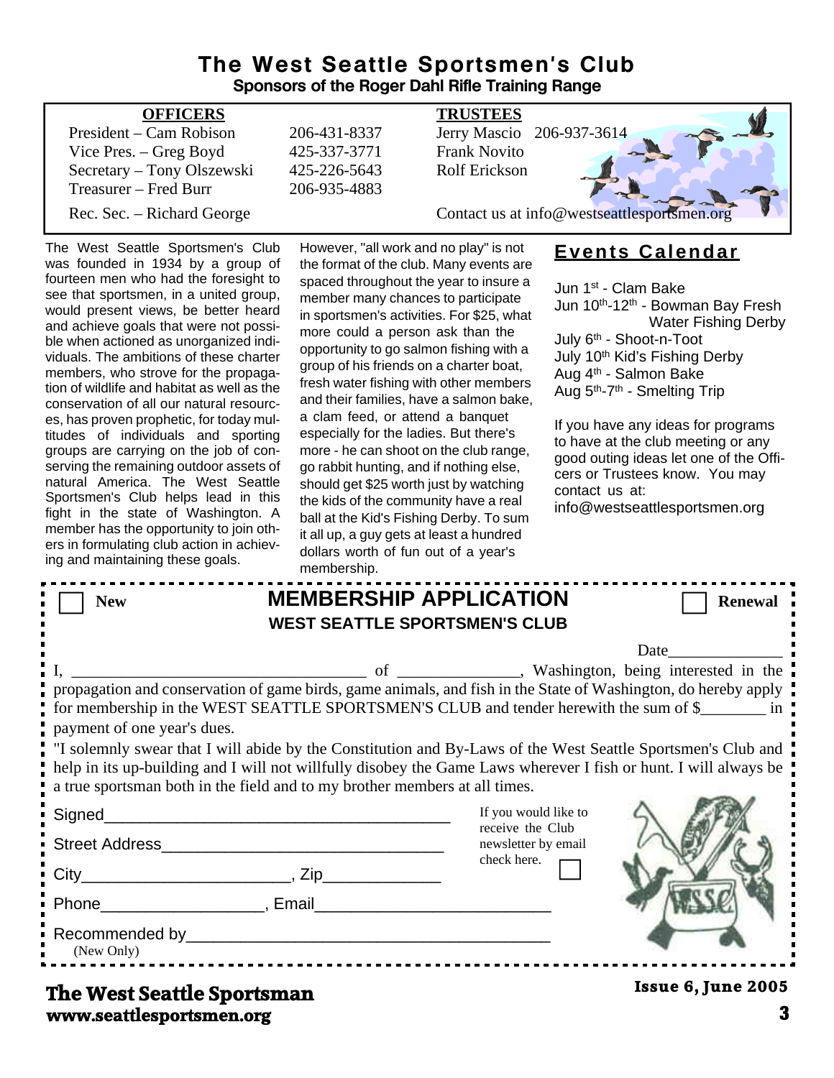## **The West Seattle Sportsmen's Club Sponsors of the Roger Dahl Rifle Training Range**

| <b>OFFICERS</b>            |              | <b>TRUSTEES</b>                             |
|----------------------------|--------------|---------------------------------------------|
| President – Cam Robison    | 206-431-8337 | Jerry Mascio 206-937-3614                   |
| Vice Pres. – Greg Boyd     | 425-337-3771 | <b>Frank Novito</b>                         |
| Secretary – Tony Olszewski | 425-226-5643 | <b>Rolf Erickson</b>                        |
| Treasurer – Fred Burr      | 206-935-4883 |                                             |
| Rec. Sec. – Richard George |              | Contact us at info@westseattlesportsmen.org |
|                            |              |                                             |

The West Seattle Sportsmen's Club was founded in 1934 by a group of fourteen men who had the foresight to see that sportsmen, in a united group, would present views, be better heard and achieve goals that were not possible when actioned as unorganized individuals. The ambitions of these charter members, who strove for the propagation of wildlife and habitat as well as the conservation of all our natural resources, has proven prophetic, for today multitudes of individuals and sporting groups are carrying on the job of conserving the remaining outdoor assets of natural America. The West Seattle Sportsmen's Club helps lead in this fight in the state of Washington. A member has the opportunity to join others in formulating club action in achieving and maintaining these goals.

However, "all work and no play" is not the format of the club. Many events are spaced throughout the year to insure a member many chances to participate in sportsmen's activities. For \$25, what more could a person ask than the opportunity to go salmon fishing with a group of his friends on a charter boat, fresh water fishing with other members and their families, have a salmon bake, a clam feed, or attend a banquet especially for the ladies. But there's more - he can shoot on the club range, go rabbit hunting, and if nothing else, should get \$25 worth just by watching the kids of the community have a real ball at the Kid's Fishing Derby. To sum it all up, a guy gets at least a hundred dollars worth of fun out of a year's membership.

## **Events Calendar**

Jun 1st - Clam Bake Jun 10th-12th - Bowman Bay Fresh Water Fishing Derby July 6th - Shoot-n-Toot July 10th Kid's Fishing Derby Aug 4th - Salmon Bake Aug 5th-7th - Smelting Trip

If you have any ideas for programs to have at the club meeting or any good outing ideas let one of the Officers or Trustees know. You may contact us at: info@westseattlesportsmen.org

|                                                                                                                                                                                                                                                                                                                                                                                                                                                                                                                                                            | <b>HIGHINGIOHIP.</b>                                                  |                                                                                |                    |  |  |  |
|------------------------------------------------------------------------------------------------------------------------------------------------------------------------------------------------------------------------------------------------------------------------------------------------------------------------------------------------------------------------------------------------------------------------------------------------------------------------------------------------------------------------------------------------------------|-----------------------------------------------------------------------|--------------------------------------------------------------------------------|--------------------|--|--|--|
| <b>New</b>                                                                                                                                                                                                                                                                                                                                                                                                                                                                                                                                                 | <b>MEMBERSHIP APPLICATION</b><br><b>WEST SEATTLE SPORTSMEN'S CLUB</b> |                                                                                | <b>Renewal</b>     |  |  |  |
| propagation and conservation of game birds, game animals, and fish in the State of Washington, do hereby apply<br>for membership in the WEST SEATTLE SPORTSMEN'S CLUB and tender herewith the sum of \$<br>payment of one year's dues.<br>I "I solemnly swear that I will abide by the Constitution and By-Laws of the West Seattle Sportsmen's Club and<br>help in its up-building and I will not willfully disobey the Game Laws wherever I fish or hunt. I will always be<br>a true sportsman both in the field and to my brother members at all times. |                                                                       |                                                                                |                    |  |  |  |
| Signed___________                                                                                                                                                                                                                                                                                                                                                                                                                                                                                                                                          |                                                                       | If you would like to<br>receive the Club<br>newsletter by email<br>check here. |                    |  |  |  |
| (New Only)                                                                                                                                                                                                                                                                                                                                                                                                                                                                                                                                                 | Recommended by Participate and Commended by Anti-                     |                                                                                |                    |  |  |  |
| The West Seattle Snortsman                                                                                                                                                                                                                                                                                                                                                                                                                                                                                                                                 |                                                                       |                                                                                | Issue 6, June 2005 |  |  |  |

## **www.seattlesportsmen.org 3 The West Seattle Sportsman**